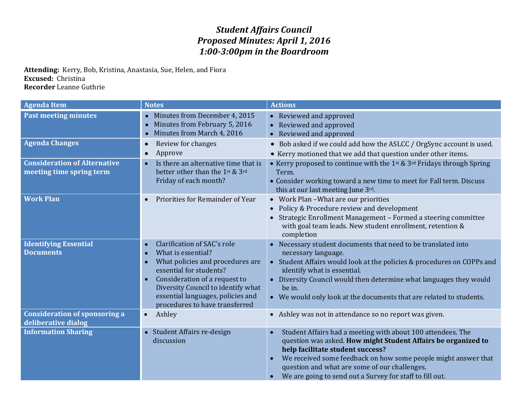## *Student Affairs Council Proposed Minutes: April 1, 2016 1:00-3:00pm in the Boardroom*

**Attending:** Kerry, Bob, Kristina, Anastasia, Sue, Helen, and Fiora **Excused:** Christina **Recorder** Leanne Guthrie

| <b>Agenda Item</b>                                              | <b>Notes</b>                                                                                                                                                                                                                                                                                                       | <b>Actions</b>                                                                                                                                                                                                                                                                                                                                                |
|-----------------------------------------------------------------|--------------------------------------------------------------------------------------------------------------------------------------------------------------------------------------------------------------------------------------------------------------------------------------------------------------------|---------------------------------------------------------------------------------------------------------------------------------------------------------------------------------------------------------------------------------------------------------------------------------------------------------------------------------------------------------------|
| <b>Past meeting minutes</b>                                     | Minutes from December 4, 2015<br>Minutes from February 5, 2016<br>Minutes from March 4, 2016                                                                                                                                                                                                                       | Reviewed and approved<br>Reviewed and approved<br>Reviewed and approved                                                                                                                                                                                                                                                                                       |
| <b>Agenda Changes</b>                                           | Review for changes<br>$\bullet$<br>Approve<br>$\bullet$                                                                                                                                                                                                                                                            | Bob asked if we could add how the ASLCC / OrgSync account is used.<br>$\bullet$<br>• Kerry motioned that we add that question under other items.                                                                                                                                                                                                              |
| <b>Consideration of Alternative</b><br>meeting time spring term | Is there an alternative time that is<br>$\bullet$<br>better other than the 1st & 3rd<br>Friday of each month?                                                                                                                                                                                                      | • Kerry proposed to continue with the $1^{st}$ & $3^{rd}$ Fridays through Spring<br>Term.<br>• Consider working toward a new time to meet for Fall term. Discuss<br>this at our last meeting June 3rd.                                                                                                                                                        |
| <b>Work Plan</b>                                                | Priorities for Remainder of Year<br>$\bullet$                                                                                                                                                                                                                                                                      | • Work Plan - What are our priorities<br>Policy & Procedure review and development<br>Strategic Enrollment Management - Formed a steering committee<br>with goal team leads. New student enrollment, retention &<br>completion                                                                                                                                |
| <b>Identifying Essential</b><br><b>Documents</b>                | Clarification of SAC's role<br>$\bullet$<br>What is essential?<br>$\bullet$<br>What policies and procedures are<br>$\bullet$<br>essential for students?<br>Consideration of a request to<br>$\bullet$<br>Diversity Council to identify what<br>essential languages, policies and<br>procedures to have transferred | Necessary student documents that need to be translated into<br>$\bullet$<br>necessary language.<br>• Student Affairs would look at the policies & procedures on COPPs and<br>identify what is essential.<br>Diversity Council would then determine what languages they would<br>be in.<br>• We would only look at the documents that are related to students. |
| <b>Consideration of sponsoring a</b><br>deliberative dialog     | Ashley<br>$\bullet$                                                                                                                                                                                                                                                                                                | Ashley was not in attendance so no report was given.                                                                                                                                                                                                                                                                                                          |
| <b>Information Sharing</b>                                      | Student Affairs re-design<br>discussion                                                                                                                                                                                                                                                                            | Student Affairs had a meeting with about 100 attendees. The<br>question was asked. How might Student Affairs be organized to<br>help facilitate student success?<br>We received some feedback on how some people might answer that<br>question and what are some of our challenges.<br>We are going to send out a Survey for staff to fill out.<br>$\bullet$  |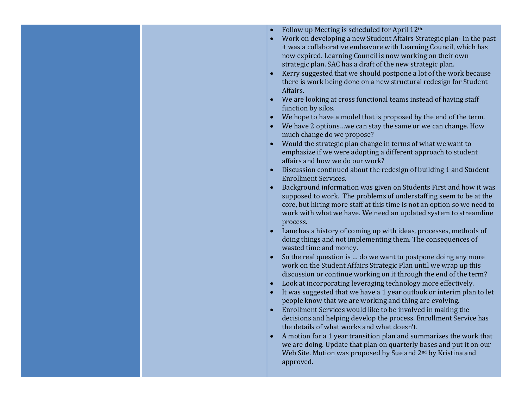- Follow up Meeting is scheduled for April 12th.
- Work on developing a new Student Affairs Strategic plan- In the past it was a collaborative endeavore with Learning Council, which has now expired. Learning Council is now working on their own strategic plan. SAC has a draft of the new strategic plan.
- Kerry suggested that we should postpone a lot of the work because there is work being done on a new structural redesign for Student Affairs.
- We are looking at cross functional teams instead of having staff function by silos.
- We hope to have a model that is proposed by the end of the term.
- We have 2 options…we can stay the same or we can change. How much change do we propose?
- Would the strategic plan change in terms of what we want to emphasize if we were adopting a different approach to student affairs and how we do our work?
- Discussion continued about the redesign of building 1 and Student Enrollment Services.
- Background information was given on Students First and how it was supposed to work. The problems of understaffing seem to be at the core, but hiring more staff at this time is not an option so we need to work with what we have. We need an updated system to streamline process.
- Lane has a history of coming up with ideas, processes, methods of doing things and not implementing them. The consequences of wasted time and money.
- So the real question is … do we want to postpone doing any more work on the Student Affairs Strategic Plan until we wrap up this discussion or continue working on it through the end of the term?
- Look at incorporating leveraging technology more effectively.
- It was suggested that we have a 1 year outlook or interim plan to let people know that we are working and thing are evolving.
- Enrollment Services would like to be involved in making the decisions and helping develop the process. Enrollment Service has the details of what works and what doesn't.
- A motion for a 1 year transition plan and summarizes the work that we are doing. Update that plan on quarterly bases and put it on our Web Site. Motion was proposed by Sue and 2<sup>nd</sup> by Kristina and approved.